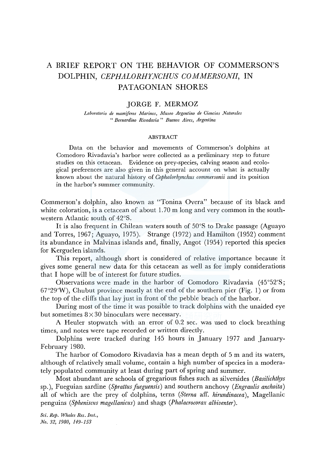# A BRIEF REPORT ON THE BEHAVIOR OF COMMERSON'S DOLPHIN, *CEPHALORHYNCHUS COMMERSONII,* IN PATAGONIAN SHORES

## JORGE F. MERMOZ

*Laboratorio de mamiferos Marinos, Museo Argentina de Ciencias Naturales*  " *Bernardino Rivadavia* " *Buenos Aires, Argentina* 

## ABSTRACT

Data on the behavior and movements of Commerson's dolphins at Comodoro Rivadavia's harbor were collected as a preliminary step to future studies on this cetacean. Evidence on prey-species, calving season and ecological preferences are also given in this general account on what is actually known about the natural history of *Cephalorhynchus commersonii* and its position in the harbor's summer community.

Commerson's dolphin, also known as "Tonina Overa" because of its black and white coloration, is a cetacean of about 1.70 m long and very common in the southwestern Atlantic south of 42°S.

It is also frequent in Chilean waters south of 50°S to Drake passage (Aguayo and Torres, 1967; Aguayo, 1975). Strange (1972) and Hamilton (1952) comment its abundance in Malvinas islands and, finally, Angot (1954) reported this species for Kerguelen islands.

This report, although short is considered of relative importance because it gives some general new data for this cetacean as well as for imply considerations that I hope will be of interest for future studies.

Observations were made in the harbor of Comodoro Rivadavia (45°52'S;  $67°29'W$ ), Chubut province mostly at the end of the southern pier (Fig. 1) or from the top of the cliffs that lay just in front of the pebble beach of the harbor.

During most of the time it was possible to track dolphins with the unaided eye but sometimes  $8 \times 30$  binoculars were necessary.

A Heuler stopwatch with an error of 0.2 sec. was used to clock breathing times, and notes were tape recorded or written directly.

Dolphins were tracked during 145 hours in January 1977 and January-February 1980.

The harbor of Comodoro Rivadavia has a mean depth of 5 m and its waters, although of relatively small volume, contain a high number of species in a moderately populated community at least during part of spring and summer.

Most abundant are schools of gregarious fishes such as silvcrsides *(Basilichthys*  sp. ), Fueguian sardine *(Sprattus fueguensis)* and southern anchovy *(Engraulis anchoita)*  all of which are the prey of dolphins, terns *(Sterna* aff. *hirundinacea* ), Magellanic penguins *(Spheniscus magellanicus)* and shags *(Phalacrocorax albiventer).* 

*Sci. Rep. Whales Res. Inst., No. 32, 1980, 149-153*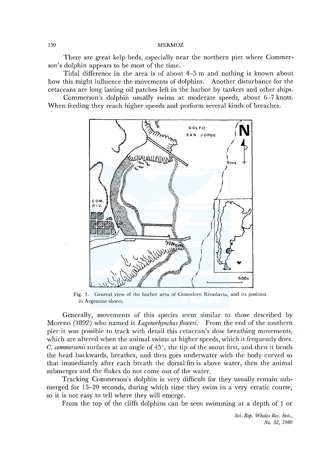150 MERMOZ

There are great kelp beds, especially near the northern pier where Commerson's dolphin appears to be most of the time.

Tidal difference in the area is of about 4-5 m and nothing is known about how this might influence the movements of dolphins. Another disturbance for the cetaceans are long lasting oil patches left in the harbor by tankers and other ships.

Commerson's dolphin usually swims at moderate speeds, about 6-7 knots. When feeding they reach higher speeds and perform several kinds of breaches.



Fig. 1. General view of the harbor area of Comodoro Rivadavia, and its position in Argentine shores.

Generally, movements of this species seem similar to those described by Moreno (1892) who named it *Lagenorhynchusfioweri.* From the end of the southern pier it was possible to track with detail this cetacean's slow breathing movements, which are altered when the animal swims at higher speeds, which it frequently does. *C. commersonii* surfaces at an angle of 45°, the tip of the snout first, and then it bends the head backwards, breathes, and then goes underwater with the body curved so that immediately after each breath the dorsal fin is above water, then the animal submerges and the flukes do not come out of the water.

Tracking Commerson's dolphin is very difficult for they usually remain submerged for 15-20 seconds, during which time they swim in a very erratic course, so it is not easy to tell where they will emerge.

From the top of the cliffs dolphins can be seen swimming at a depth of I or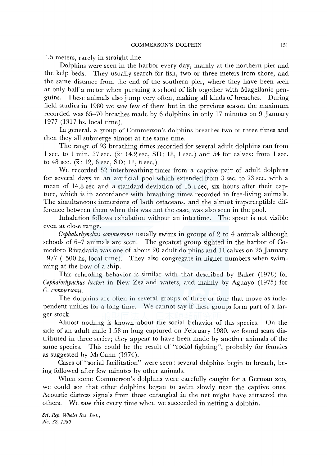1.5 meters, rarely in straight line.

Dolphins were seen in the harbor every day, mainly at the northern pier and the kelp beds. They usually search for fish, two or three meters from shore, and the same distance from the end of the southern pier, where they have been seen at only half a meter when pursuing a school of fish together with Magellanic penguins. These animals also jump very often, making all kinds of breaches. During field studies in 1980 we saw few of them but in the previous season the maximum recorded was 65-70 breathes made by 6 dolphins in only 17 minutes on 9 January 1977 (1317 hs, local time).

In general, a group of Commerson's dolphins breathes two or three times and then they all submerge almost at the same time.

The range of 93 breathing times recorded for several adult dolphins ran from 1 sec. to 1 min. 37 sec.  $(\bar{x}: 14.2 \text{ sec}, SD: 18, 1 \text{ sec.})$  and 54 for calves: from 1 sec. to 48 sec.  $(\bar{x}: 12, 6 \text{ sec}, SD: 11, 6 \text{ sec.}).$ 

We recorded 52 interbreathing times from a captive pair of adult dolphins for several days in an artificial pool which extended from 3 sec. to 23 sec. with a mean of 14.8 sec and a standard deviation of 15.l sec, six hours after their capture, which is in accordance with breathing times recorded in free-living animals. The simultaneous inmersions of both cetaceans, and the almost imperceptible difference between them when this was not the case, was also seen in the pool.

Inhalation follows exhalation without an intertime. The spout is not visible even at close range.

*Cephalorhynchus commersonii* usually swims in groups of 2 to 4 animals although schools of 6-7 animals are seen. The greatest group sighted in the harbor of Comodoro Rivadavia was one of about 20 adult dolphins and 11 calves on 25 January 1977 (1500 hs, local time). They also congregate in higher numbers when swimming at the bow of a ship.

This schooling behavior is similar with that described by Baker (1978) for *Cephalorhynchus hectori* in New Zealand waters, and mainly by Aguayo (1975) for *C. commersonii.* 

The dolphins are often in several groups of three or four that move as independent unities for a long time. We cannot say if these groups form part of a larger stock.

Almost nothing is known about the social behavior of this species. On the side of an adult male 1.58 m long captured on February 1980, we found scars distributed in three series; they appear to have been made by another animals of the same species. This could be the result of "social fighting", probably for females as suggested by McCann (1974).

Cases of "social facilitation" were seen: several dolphins begin to breach, being followed after few minutes by other animals.

When some Commerson's dolphins were carefully caught for a German zoo, we could see that other dolphins began to swim slowly near the captive ones. Acoustic distress signals from those entangled in the net might have attracted the others. We saw this every time when we succeeded in netting a dolphin.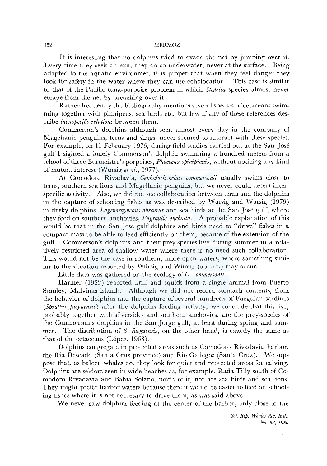#### 152 MERMOZ

It is interesting that no dolphins tried to evade the net by jumping over it. Every time they seek an exit, they do so underwater, never at the surface. Being adapted to the aquatic environmet, it is proper that when they feel danger they look for safety in the water where they can use echolocation. This case is similar to that of the Pacific tuna-porpoise problem in which *Stenella* species almost never escape from the net by breaching over it.

Rather frequently the bibliography mentions several species of cetaceans swimming together with pinnipeds, sea birds etc, but few if any of these references describe *interspecific relations* between them.

Commerson's dolphins although seen almost every day in the company of Magellanic penguins, terns and shags, never seemed to interact with these species. For example, on 11 February 1976, during field studies carried out at the San Jose gulf I sighted a lonely Commerson's dolphin swimming a hundred meters from a school of three Burmeister's porpoises, *Phocoena spinipinnis,* without noticing any kind of mutual interest (Würsig et al., 1977).

At Comodoro Rivadavia, *Cephalorhynchus commersonii* usually swims close to terns, southern sea lions and Magellanic penguins, but we never could detect interspecific activity. Also, we did not see collaboration between terns and the dolphins in the capture of schooling fishes as was described by Würsig and Würsig  $(1979)$ in dusky dolphins, *Lagenorhynchus obscurus* and sea birds at the San Jose gulf, where they feed on southern anchovies, *Engraulis anchoita.* A probable explanation of this would be that in the San Jose gulf dolphins and birds need to "drive" fishes in a compact mass to be able to feed efficiently on them, because of the extension of the gulf. Commerson's dolphins and their prey species live during summer in a relatively restricted area of shallow water where there is no need such collaboration. This would not be the case in southern, more open waters, where something similar to the situation reported by Würsig and Würsig (op. cit.) may occur.

Little data was gathered on the ecology of *C. commersonii.* 

Harmer (1922) reported krill and squids from a single animal from Puerto Stanley, Malvinas islands. Although we did not record stomach contents, from the behavior of dolphins and the capture of several hundreds of Fueguian sardines *(Sprattus fueguensis)* after the dolphins feeding activity, we conclude that this fish, probably together with silversides and southern anchovies, are the prey-species of the Commerson's dolphins in the San Jorge gulf, at least during spring and summer. The distribution of *S. fueguensis,* on the other hand, is exactly the same as that of the cetaceans (López, 1963).

Dolphins congregate in protected areas such as Comodoro Rivadavia harbor, the Ria Deseado (Santa Cruz province) and Rio Gallegos (Santa Cruz). We suppose that, as baleen whales do, they look for quiet and protected areas for calving. Dolphins are seldom seen in wide beaches as, for example, Rada Tilly south of Comodoro Rivadavia and Bahia Solano, north of it, nor are sea birds and sea lions. They might prefer harbor waters because there it would be easier to feed on schooling fishes where it is not neccesary to drive them, as was said above.

We never saw dolphins feeding at the center of the harbor, only close to the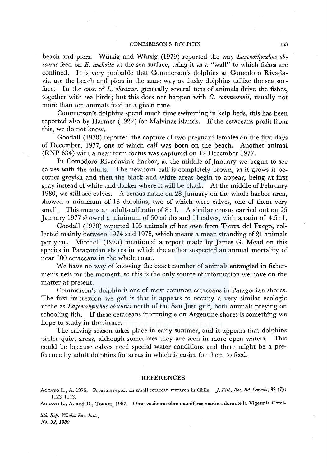## COMMERSON'S DOLPHIN 153

beach and piers. Wiirsig and Wiirsig (1979) reported the way *Lagenorhynchus obscurus* feed on *E. anchoita* at the sea surface, using it as a "wall" to which fishes are confined. It is very probable that Commerson's dolphins at Comodoro Rivadavia use the beach and piers in the same way as dusky dolphins utilize the sea surface. In the case of L. *obscurus*, generally several tens of animals drive the fishes, together with sea birds; but this does not happen with *C. commersonii,* usually not more than ten animals feed at a given time.

Commerson's dolphins spend much time swimming in kelp beds, this has been reported also by Harmer (1922) for Malvinas islands. If the cetaceans profit from this, we do not know.

Goodall (1978) reported the capture of two pregnant females on the first days of December, 1977, one of which calf was born on the beach. Another animal (RNP 634) with a near term foetus was captured on 12 December 1977.

In Comodoro Rivadavia's harbor, at the middle of January we begun to see calves with the adults. The newborn calf is completely brown, as it grows it becomes greyish and then the black and white areas begin to appear, being at first gray instead of white and darker where it will be black. At the middle of February 1980, we still see calves. A census made on 28 January on the whole harbor area, showed a minimum of 18 dolphins, two of which were calves, one of them very small. This means an adult-calf ratio of 8: 1. A similar census carried out on 25 January 1977 showed a minimum of 50 adults and 11 calves, with a ratio of 4.5: 1.

Goodall (1978) reported 105 animals of her own from Tierra del Fuego, collected mainly between 1974 and 1978, which means a mean stranding of 21 animals per year. Mitchell (1975) mentioned a report made by James G. Mead on this species in Patagonian shores in which the author suspected an annual mortality of near 100 cetaceans in the whole coast.

We have no way of knowing the exact number of animals entangled in fishermen's nets for the moment, so this is the only source of information we have on the matter at present.

Commerson's dolphin is one of most common cetaceans in Patagonian shores. The first impression we got is that it appears to occupy a very similar ecologic niche as *Lagenorhynchus obscurus* north of the San Jose gulf, both animals preying on schooling fish. If these cetaceans intermingle on Argentine shores is something we hope to study in the future.

The calving season takes place in early summer, and it appears that dolphins prefer quiet areas, although sometimes they are seen in more open waters. This could be because calves need special water conditions and there might be a preference by adult dolphins for areas in which is easier for them to feed.

## **REFERENCES**

AGUAYO L., A. 1975. Progress report on small cetacean research in Chile. *j. Fish. Res. Bd. Canada,* 32 (7): 1123-1143.

AGUAYO L., A. and D., TORRES, 1967. Observaciones sobre mamiferos marinas durante la Vigesmia Comi-